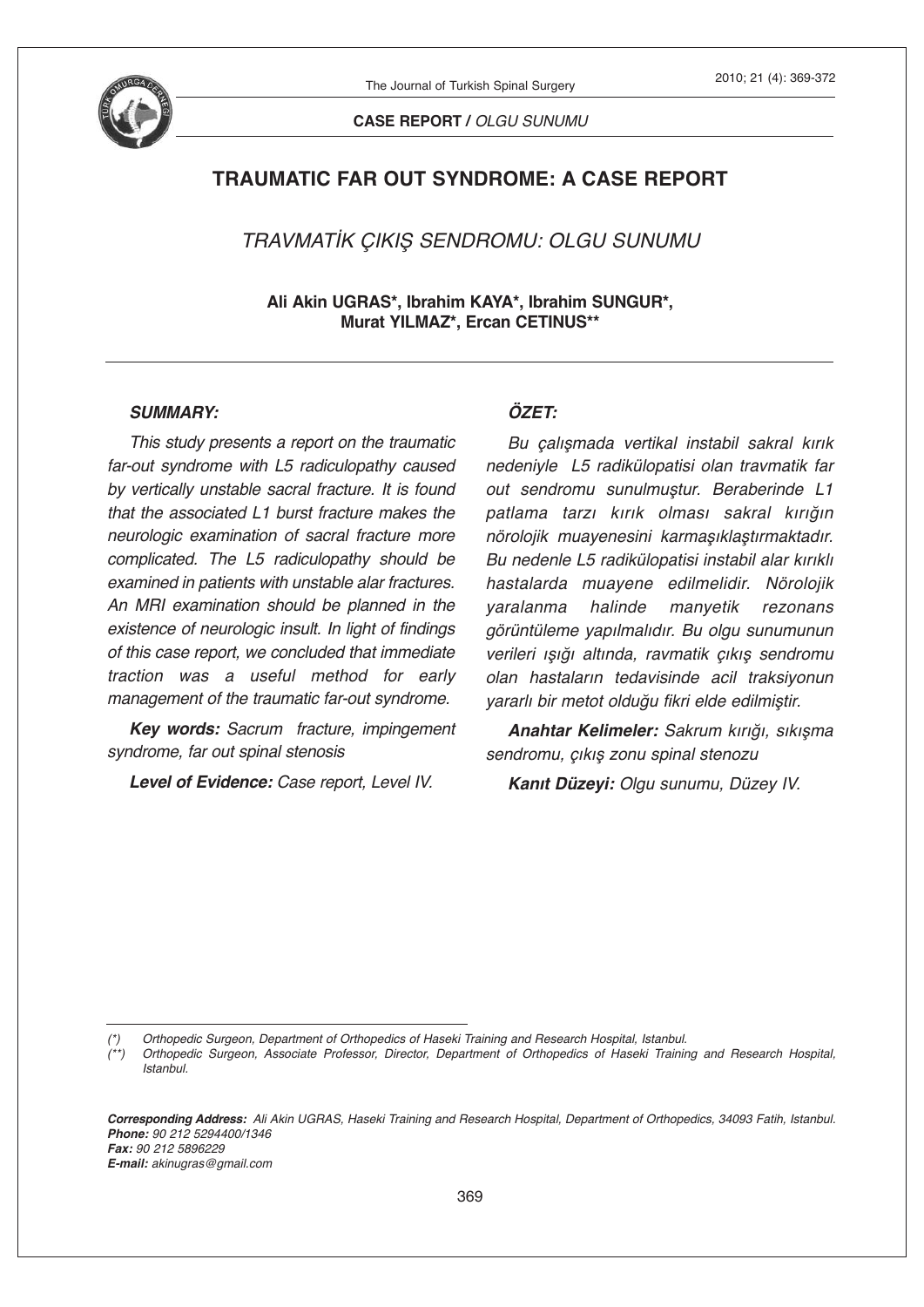

The Journal of Turkish Spinal Surgery

**CASE REPORT /** *OLGU SUNUMU*

# **TRAUMATIC FAR OUT SYNDROME: A CASE REPORT**

*TRAVMATİK ÇIKIŞ SENDROMU: OLGU SUNUMU*

**Ali Akin UGRAS\*, Ibrahim KAYA\*, Ibrahim SUNGUR\*, Murat YILMAZ\*, Ercan CETINUS\*\***

#### *SUMMARY:*

*This study presents a report on the traumatic far-out syndrome with L5 radiculopathy caused by vertically unstable sacral fracture. It is found that the associated L1 burst fracture makes the neurologic examination of sacral fracture more complicated. The L5 radiculopathy should be examined in patients with unstable alar fractures. An MRI examination should be planned in the existence of neurologic insult. In light of findings of this case report, we concluded that immediate traction was a useful method for early management of the traumatic far-out syndrome.*

*Key words: Sacrum fracture, impingement syndrome, far out spinal stenosis*

*Level of Evidence: Case report, Level IV.*

## *ÖZET:*

*Bu çalışmada vertikal instabil sakral kırık nedeniyle L5 radikülopatisi olan travmatik far out sendromu sunulmuştur. Beraberinde L1 patlama tarzı kırık olması sakral kırığın nörolojik muayenesini karmaşıklaştırmaktadır. Bu nedenle L5 radikülopatisi instabil alar kırıklı hastalarda muayene edilmelidir. Nörolojik yaralanma halinde manyetik rezonans görüntüleme yapılmalıdır. Bu olgu sunumunun verileri ışığı altında, ravmatik çıkış sendromu olan hastaların tedavisinde acil traksiyonun yararlı bir metot olduğu fikri elde edilmiştir.*

*Anahtar Kelimeler: Sakrum kırığı, sıkışma sendromu, çıkış zonu spinal stenozu*

*Kanıt Düzeyi: Olgu sunumu, Düzey IV.*

Corresponding Address: Ali Akin UGRAS, Haseki Training and Research Hospital, Department of Orthopedics, 34093 Fatih, Istanbul. *Phone: 90 212 5294400/1346 Fax: 90 212 5896229 E-mail: akinugras@gmail.com*

*<sup>(\*)</sup> Orthopedic Surgeon, Department of Orthopedics of Haseki Training and Research Hospital, Istanbul.*

Orthopedic Surgeon, Associate Professor, Director, Department of Orthopedics of Haseki Training and Research Hospital, *Istanbul.*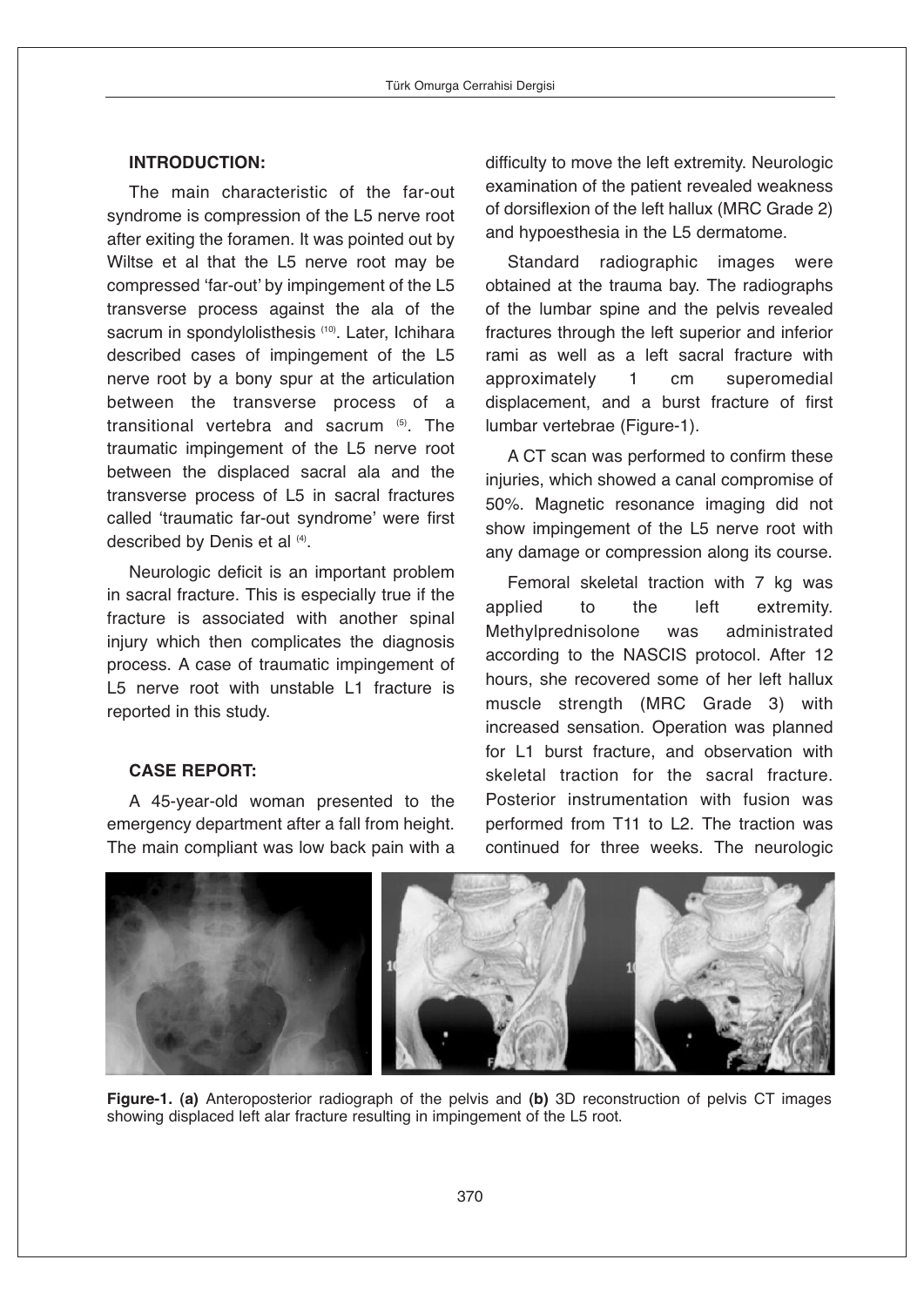## **INTRODUCTION:**

The main characteristic of the far-out syndrome is compression of the L5 nerve root after exiting the foramen. It was pointed out by Wiltse et al that the L5 nerve root may be compressed ʻfar-out' by impingement of the L5 transverse process against the ala of the sacrum in spondylolisthesis (10) . Later, Ichihara described cases of impingement of the L5 nerve root by a bony spur at the articulation between the transverse process of a transitional vertebra and sacrum  $\overline{5}$ . The traumatic impingement of the L5 nerve root between the displaced sacral ala and the transverse process of L5 in sacral fractures called ʻtraumatic far-out syndrome' were first described by Denis et al  $(4)$ .

Neurologic deficit is an important problem in sacral fracture. This is especially true if the fracture is associated with another spinal injury which then complicates the diagnosis process. A case of traumatic impingement of L5 nerve root with unstable L1 fracture is reported in this study.

## **CASE REPORT:**

A 45-year-old woman presented to the emergency department after a fall from height. The main compliant was low back pain with a difficulty to move the left extremity. Neurologic examination of the patient revealed weakness of dorsiflexion of the left hallux (MRC Grade 2) and hypoesthesia in the L5 dermatome.

Standard radiographic images were obtained at the trauma bay. The radiographs of the lumbar spine and the pelvis revealed fractures through the left superior and inferior rami as well as a left sacral fracture with approximately 1 cm superomedial displacement, and a burst fracture of first lumbar vertebrae (Figure-1).

A CT scan was performed to confirm these injuries, which showed a canal compromise of 50%. Magnetic resonance imaging did not show impingement of the L5 nerve root with any damage or compression along its course.

Femoral skeletal traction with 7 kg was applied to the left extremity. Methylprednisolone was administrated according to the NASCIS protocol. After 12 hours, she recovered some of her left hallux muscle strength (MRC Grade 3) with increased sensation. Operation was planned for L1 burst fracture, and observation with skeletal traction for the sacral fracture. Posterior instrumentation with fusion was performed from T11 to L2. The traction was continued for three weeks. The neurologic



**Figure-1. (a)** Anteroposterior radiograph of the pelvis and **(b)** 3D reconstruction of pelvis CT images showing displaced left alar fracture resulting in impingement of the L5 root.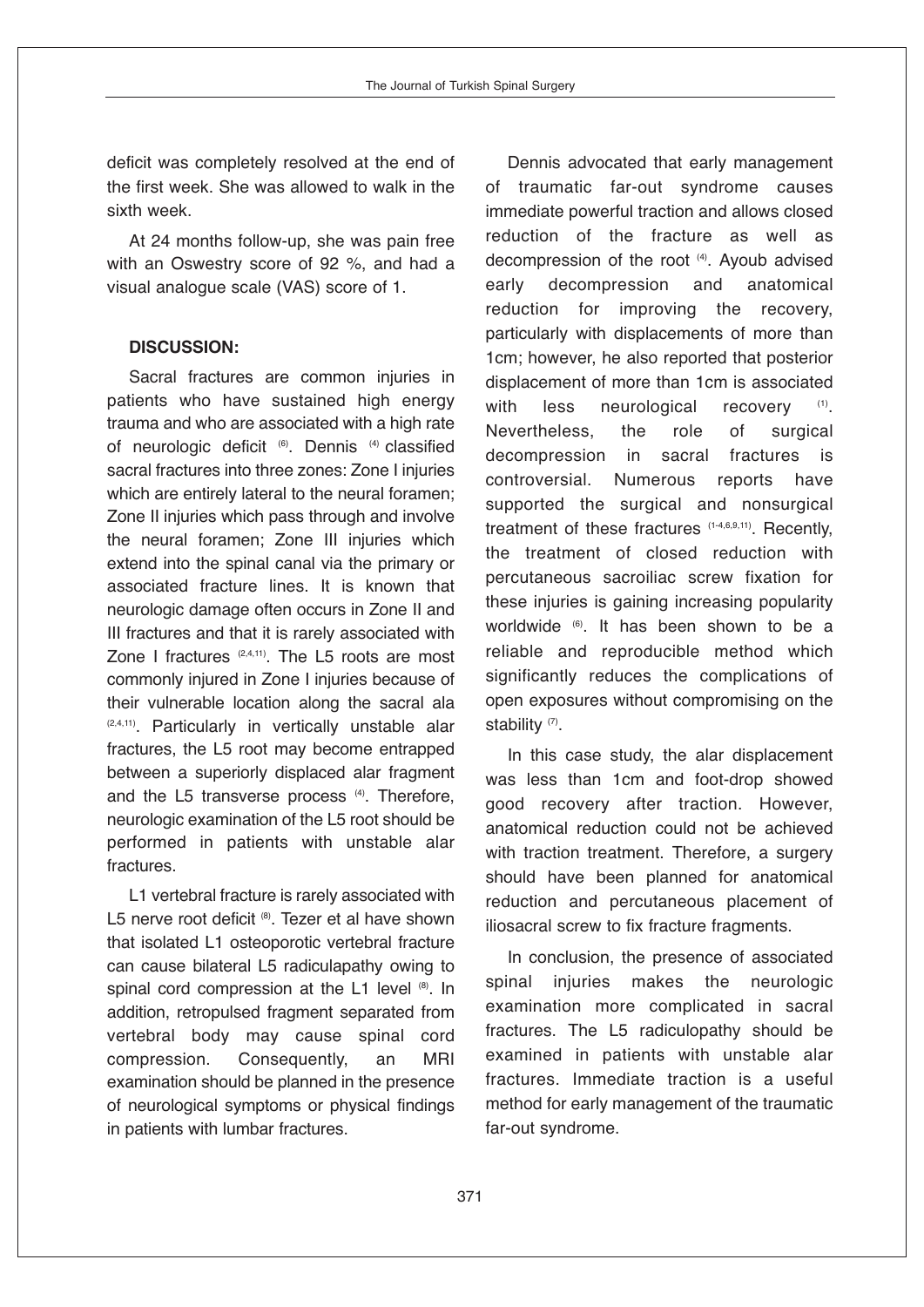deficit was completely resolved at the end of the first week. She was allowed to walk in the sixth week.

At 24 months follow-up, she was pain free with an Oswestry score of 92 %, and had a visual analogue scale (VAS) score of 1.

### **DISCUSSION:**

Sacral fractures are common injuries in patients who have sustained high energy trauma and who are associated with a high rate of neurologic deficit <sup>(6)</sup>. Dennis <sup>(4)</sup> classified sacral fractures into three zones: Zone I injuries which are entirely lateral to the neural foramen; Zone II injuries which pass through and involve the neural foramen; Zone III injuries which extend into the spinal canal via the primary or associated fracture lines. It is known that neurologic damage often occurs in Zone II and III fractures and that it is rarely associated with Zone I fractures  $(2,4,11)$ . The L5 roots are most commonly injured in Zone I injuries because of their vulnerable location along the sacral ala (2,4,11) . Particularly in vertically unstable alar fractures, the L5 root may become entrapped between a superiorly displaced alar fragment and the L5 transverse process (4). Therefore, neurologic examination of the L5 root should be performed in patients with unstable alar fractures.

L1 vertebral fracture is rarely associated with L5 nerve root deficit ®. Tezer et al have shown that isolated L1 osteoporotic vertebral fracture can cause bilateral L5 radiculapathy owing to spinal cord compression at the L1 level <sup>®</sup>. In addition, retropulsed fragment separated from vertebral body may cause spinal cord compression. Consequently, an MRI examination should be planned in the presence of neurological symptoms or physical findings in patients with lumbar fractures.

Dennis advocated that early management of traumatic far-out syndrome causes immediate powerful traction and allows closed reduction of the fracture as well as decompression of the root (4) . Ayoub advised early decompression and anatomical reduction for improving the recovery, particularly with displacements of more than 1cm; however, he also reported that posterior displacement of more than 1cm is associated with less neurological recovery  $(1)$ Nevertheless, the role of surgical decompression in sacral fractures is controversial. Numerous reports have supported the surgical and nonsurgical treatment of these fractures (1-4,6,9,11). Recently, the treatment of closed reduction with percutaneous sacroiliac screw fixation for these injuries is gaining increasing popularity worldwide (6) . It has been shown to be a reliable and reproducible method which significantly reduces the complications of open exposures without compromising on the stability<sup>(7)</sup>.

In this case study, the alar displacement was less than 1cm and foot-drop showed good recovery after traction. However, anatomical reduction could not be achieved with traction treatment. Therefore, a surgery should have been planned for anatomical reduction and percutaneous placement of iliosacral screw to fix fracture fragments.

In conclusion, the presence of associated spinal injuries makes the neurologic examination more complicated in sacral fractures. The L5 radiculopathy should be examined in patients with unstable alar fractures. Immediate traction is a useful method for early management of the traumatic far-out syndrome.